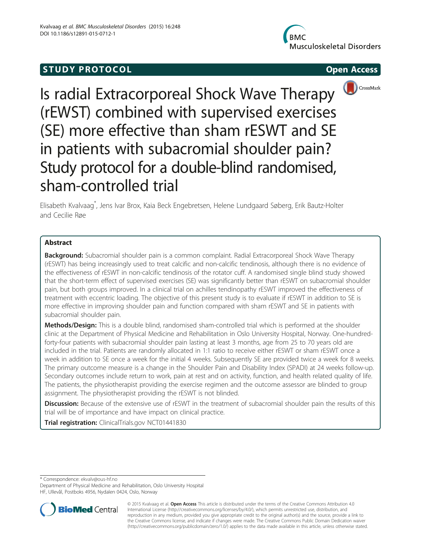# **STUDY PROTOCOL CONSUMING THE STUDY PROTOCOL**







Is radial Extracorporeal Shock Wave Therapy (rEWST) combined with supervised exercises (SE) more effective than sham rESWT and SE in patients with subacromial shoulder pain? Study protocol for a double-blind randomised, sham-controlled trial

Elisabeth Kvalvaag\* , Jens Ivar Brox, Kaia Beck Engebretsen, Helene Lundgaard Søberg, Erik Bautz-Holter and Cecilie Røe

# Abstract

**Background:** Subacromial shoulder pain is a common complaint. Radial Extracorporeal Shock Wave Therapy (rESWT) has being increasingly used to treat calcific and non-calcific tendinosis, although there is no evidence of the effectiveness of rESWT in non-calcific tendinosis of the rotator cuff. A randomised single blind study showed that the short-term effect of supervised exercises (SE) was significantly better than rESWT on subacromial shoulder pain, but both groups improved. In a clinical trial on achilles tendinopathy rESWT improved the effectiveness of treatment with eccentric loading. The objective of this present study is to evaluate if rESWT in addition to SE is more effective in improving shoulder pain and function compared with sham rESWT and SE in patients with subacromial shoulder pain.

Methods/Design: This is a double blind, randomised sham-controlled trial which is performed at the shoulder clinic at the Department of Physical Medicine and Rehabilitation in Oslo University Hospital, Norway. One-hundredforty-four patients with subacromial shoulder pain lasting at least 3 months, age from 25 to 70 years old are included in the trial. Patients are randomly allocated in 1:1 ratio to receive either rESWT or sham rESWT once a week in addition to SE once a week for the initial 4 weeks. Subsequently SE are provided twice a week for 8 weeks. The primary outcome measure is a change in the Shoulder Pain and Disability Index (SPADI) at 24 weeks follow-up. Secondary outcomes include return to work, pain at rest and on activity, function, and health related quality of life. The patients, the physiotherapist providing the exercise regimen and the outcome assessor are blinded to group assignment. The physiotherapist providing the rESWT is not blinded.

**Discussion:** Because of the extensive use of rESWT in the treatment of subacromial shoulder pain the results of this trial will be of importance and have impact on clinical practice.

Trial registration: ClinicalTrials.gov [NCT01441830](https://clinicaltrials.gov/ct2/show/NCT01441830?term=nct01441830&rank=1)

\* Correspondence: [ekvalv@ous-hf.no](mailto:ekvalv@ous-hf.no)

Department of Physical Medicine and Rehabilitation, Oslo University Hospital HF, Ullevål, Postboks 4956, Nydalen 0424, Oslo, Norway



© 2015 Kvalvaag et al. Open Access This article is distributed under the terms of the Creative Commons Attribution 4.0 International License [\(http://creativecommons.org/licenses/by/4.0/](http://creativecommons.org/licenses/by/4.0/)), which permits unrestricted use, distribution, and reproduction in any medium, provided you give appropriate credit to the original author(s) and the source, provide a link to the Creative Commons license, and indicate if changes were made. The Creative Commons Public Domain Dedication waiver [\(http://creativecommons.org/publicdomain/zero/1.0/](http://creativecommons.org/publicdomain/zero/1.0/)) applies to the data made available in this article, unless otherwise stated.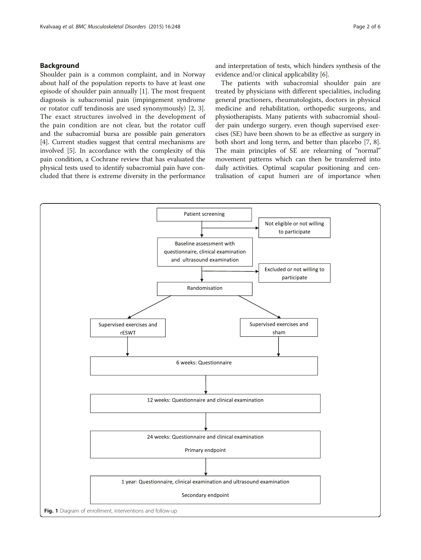# <span id="page-1-0"></span>Background

Shoulder pain is a common complaint, and in Norway about half of the population reports to have at least one episode of shoulder pain annually [[1\]](#page-5-0). The most frequent diagnosis is subacromial pain (impingement syndrome or rotator cuff tendinosis are used synonymously) [[2, 3](#page-5-0)]. The exact structures involved in the development of the pain condition are not clear, but the rotator cuff and the subacromial bursa are possible pain generators [[4\]](#page-5-0). Current studies suggest that central mechanisms are involved [\[5\]](#page-5-0). In accordance with the complexity of this pain condition, a Cochrane review that has evaluated the physical tests used to identify subacromial pain have concluded that there is extreme diversity in the performance

and interpretation of tests, which hinders synthesis of the evidence and/or clinical applicability [\[6\]](#page-5-0).

The patients with subacromial shoulder pain are treated by physicians with different specialities, including general practioners, rheumatologists, doctors in physical medicine and rehabilitation, orthopedic surgeons, and physiotherapists. Many patients with subacromial shoulder pain undergo surgery, even though supervised exercises (SE) have been shown to be as effective as surgery in both short and long term, and better than placebo [\[7](#page-5-0), [8](#page-5-0)]. The main principles of SE are relearning of "normal" movement patterns which can then be transferred into daily activities. Optimal scapular positioning and centralisation of caput humeri are of importance when

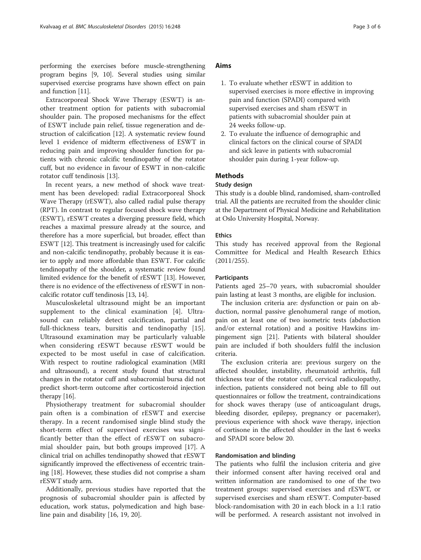performing the exercises before muscle-strengthening program begins [\[9](#page-5-0), [10](#page-5-0)]. Several studies using similar supervised exercise programs have shown effect on pain and function [\[11](#page-5-0)].

Extracorporeal Shock Wave Therapy (ESWT) is another treatment option for patients with subacromial shoulder pain. The proposed mechanisms for the effect of ESWT include pain relief, tissue regeneration and destruction of calcification [[12\]](#page-5-0). A systematic review found level 1 evidence of midterm effectiveness of ESWT in reducing pain and improving shoulder function for patients with chronic calcific tendinopathy of the rotator cuff, but no evidence in favour of ESWT in non-calcific rotator cuff tendinosis [[13\]](#page-5-0).

In recent years, a new method of shock wave treatment has been developed: radial Extracorporeal Shock Wave Therapy (rESWT), also called radial pulse therapy (RPT). In contrast to regular focused shock wave therapy (ESWT), rESWT creates a diverging pressure field, which reaches a maximal pressure already at the source, and therefore has a more superficial, but broader, effect than ESWT [\[12\]](#page-5-0). This treatment is increasingly used for calcific and non-calcific tendinopathy, probably because it is easier to apply and more affordable than ESWT. For calcific tendinopathy of the shoulder, a systematic review found limited evidence for the benefit of rESWT [\[13\]](#page-5-0). However, there is no evidence of the effectiveness of rESWT in noncalcific rotator cuff tendinosis [\[13, 14](#page-5-0)].

Musculoskeletal ultrasound might be an important supplement to the clinical examination [[4\]](#page-5-0). Ultrasound can reliably detect calcification, partial and full-thickness tears, bursitis and tendinopathy [[15](#page-5-0)]. Ultrasound examination may be particularly valuable when considering rESWT because rESWT would be expected to be most useful in case of calcification. With respect to routine radiological examination (MRI and ultrasound), a recent study found that structural changes in the rotator cuff and subacromial bursa did not predict short-term outcome after corticosteroid injection therapy [\[16\]](#page-5-0).

Physiotherapy treatment for subacromial shoulder pain often is a combination of rESWT and exercise therapy. In a recent randomised single blind study the short-term effect of supervised exercises was significantly better than the effect of rESWT on subacromial shoulder pain, but both groups improved [[17](#page-5-0)]. A clinical trial on achilles tendinopathy showed that rESWT significantly improved the effectiveness of eccentric training [\[18](#page-5-0)]. However, these studies did not comprise a sham rESWT study arm.

Additionally, previous studies have reported that the prognosis of subacromial shoulder pain is affected by education, work status, polymedication and high baseline pain and disability [\[16](#page-5-0), [19](#page-5-0), [20](#page-5-0)].

# Aims

- 1. To evaluate whether rESWT in addition to supervised exercises is more effective in improving pain and function (SPADI) compared with supervised exercises and sham rESWT in patients with subacromial shoulder pain at 24 weeks follow-up.
- 2. To evaluate the influence of demographic and clinical factors on the clinical course of SPADI and sick leave in patients with subacromial shoulder pain during 1-year follow-up.

# **Methods**

#### Study design

This study is a double blind, randomised, sham-controlled trial. All the patients are recruited from the shoulder clinic at the Department of Physical Medicine and Rehabilitation at Oslo University Hospital, Norway.

#### Ethics

This study has received approval from the Regional Committee for Medical and Health Research Ethics (2011/255).

#### **Participants**

Patients aged 25–70 years, with subacromial shoulder pain lasting at least 3 months, are eligible for inclusion.

The inclusion criteria are: dysfunction or pain on abduction, normal passive glenohumeral range of motion, pain on at least one of two isometric tests (abduction and/or external rotation) and a positive Hawkins impingement sign [\[21](#page-5-0)]. Patients with bilateral shoulder pain are included if both shoulders fulfil the inclusion criteria.

The exclusion criteria are: previous surgery on the affected shoulder, instability, rheumatoid arthritis, full thickness tear of the rotator cuff, cervical radiculopathy, infection, patients considered not being able to fill out questionnaires or follow the treatment, contraindications for shock waves therapy (use of anticoagulant drugs, bleeding disorder, epilepsy, pregnancy or pacemaker), previous experience with shock wave therapy, injection of cortisone in the affected shoulder in the last 6 weeks and SPADI score below 20.

# Randomisation and blinding

The patients who fulfil the inclusion criteria and give their informed consent after having received oral and written information are randomised to one of the two treatment groups: supervised exercises and rESWT, or supervised exercises and sham rESWT. Computer-based block-randomisation with 20 in each block in a 1:1 ratio will be performed. A research assistant not involved in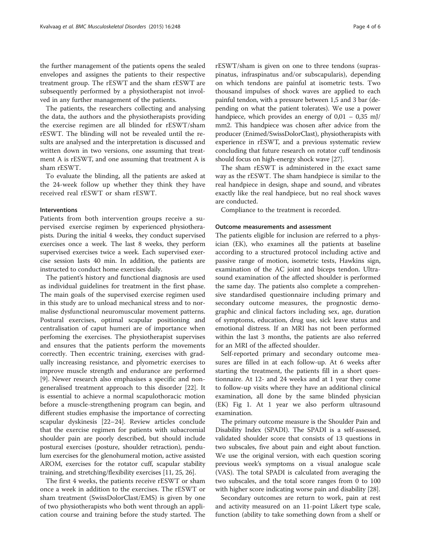the further management of the patients opens the sealed envelopes and assignes the patients to their respective treatment group. The rESWT and the sham rESWT are subsequently performed by a physiotherapist not involved in any further management of the patients.

The patients, the researchers collecting and analysing the data, the authors and the physiotherapists providing the exercise regimen are all blinded for rESWT/sham rESWT. The blinding will not be revealed until the results are analysed and the interpretation is discussed and written down in two versions, one assuming that treatment A is rESWT, and one assuming that treatment A is sham rESWT.

To evaluate the blinding, all the patients are asked at the 24-week follow up whether they think they have received real rESWT or sham rESWT.

### Interventions

Patients from both intervention groups receive a supervised exercise regimen by experienced physiotherapists. During the initial 4 weeks, they conduct supervised exercises once a week. The last 8 weeks, they perform supervised exercises twice a week. Each supervised exercise session lasts 40 min. In addition, the patients are instructed to conduct home exercises daily.

The patient's history and functional diagnosis are used as individual guidelines for treatment in the first phase. The main goals of the supervised exercise regimen used in this study are to unload mechanical stress and to normalise dysfunctional neuromuscular movement patterns. Postural exercises, optimal scapular positioning and centralisation of caput humeri are of importance when perfoming the exercises. The physiotherapist supervises and ensures that the patients perform the movements correctly. Then eccentric training, exercises with gradually increasing resistance, and plyometric exercises to improve muscle strength and endurance are performed [[9\]](#page-5-0). Newer research also emphasises a specific and nongeneralised treatment approach to this disorder [[22\]](#page-5-0). It is essential to achieve a normal scapulothoracic motion before a muscle-strengthening program can begin, and different studies emphasise the importance of correcting scapular dyskinesis [[22](#page-5-0)–[24](#page-5-0)]. Review articles conclude that the exercise regimen for patients with subacromial shoulder pain are poorly described, but should include postural exercises (posture, shoulder retraction), pendulum exercises for the glenohumeral motion, active assisted AROM, exercises for the rotator cuff, scapular stability training, and stretching/flexibility exercises [[11](#page-5-0), [25, 26](#page-5-0)].

The first 4 weeks, the patients receive rESWT or sham once a week in addition to the exercises. The rESWT or sham treatment (SwissDolorClast/EMS) is given by one of two physiotherapists who both went through an application course and training before the study started. The rESWT/sham is given on one to three tendons (supraspinatus, infraspinatus and/or subscapularis), depending on which tendons are painful at isometric tests. Two thousand impulses of shock waves are applied to each painful tendon, with a pressure between 1,5 and 3 bar (depending on what the patient tolerates). We use a power handpiece, which provides an energy of  $0.01 - 0.35$  mJ/ mm2. This handpiece was chosen after advice from the producer (Enimed/SwissDolorClast), physiotherapists with experience in rESWT, and a previous systematic review concluding that future research on rotator cuff tendinosis should focus on high-energy shock wave [\[27\]](#page-5-0).

The sham rESWT is administered in the exact same way as the rESWT. The sham handpiece is similar to the real handpiece in design, shape and sound, and vibrates exactly like the real handpiece, but no real shock waves are conducted.

Compliance to the treatment is recorded.

#### Outcome measurements and assessment

The patients eligible for inclusion are referred to a physician (EK), who examines all the patients at baseline according to a structured protocol including active and passive range of motion, isometric tests, Hawkins sign, examination of the AC joint and biceps tendon. Ultrasound examination of the affected shoulder is performed the same day. The patients also complete a comprehensive standardised questionnaire including primary and secondary outcome measures, the prognostic demographic and clinical factors including sex, age, duration of symptoms, education, drug use, sick leave status and emotional distress. If an MRI has not been performed within the last 3 months, the patients are also referred for an MRI of the affected shoulder.

Self-reported primary and secondary outcome measures are filled in at each follow-up. At 6 weeks after starting the treatment, the patients fill in a short questionnaire. At 12- and 24 weeks and at 1 year they come to follow-up visits where they have an additional clinical examination, all done by the same blinded physician (EK) Fig [1.](#page-1-0) At 1 year we also perform ultrasound examination.

The primary outcome measure is the Shoulder Pain and Disability Index (SPADI). The SPADI is a self-assessed, validated shoulder score that consists of 13 questions in two subscales, five about pain and eight about function. We use the original version, with each question scoring previous week's symptoms on a visual analogue scale (VAS). The total SPADI is calculated from averaging the two subscales, and the total score ranges from 0 to 100 with higher score indicating worse pain and disability [\[28\]](#page-5-0).

Secondary outcomes are return to work, pain at rest and activity measured on an 11-point Likert type scale, function (ability to take something down from a shelf or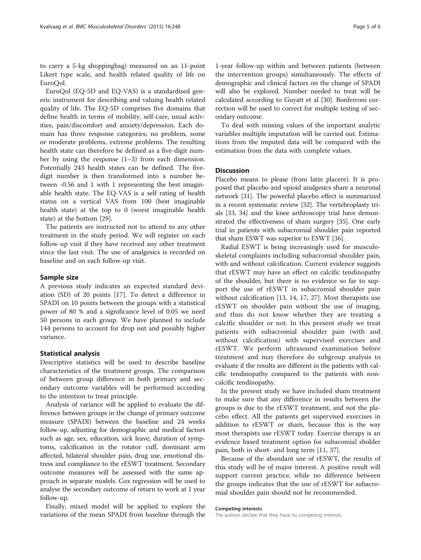to carry a 5-kg shoppingbag) measured on an 11-point Likert type scale, and health related quality of life on EuroQol.

EuroQol (EQ-5D and EQ-VAS) is a standardised generic instrument for describing and valuing health related quality of life. The EQ-5D comprises five domains that define health in terms of mobility, self-care, usual activities, pain/discomfort and anxiety/depression. Each domain has three response categories; no problem, some or moderate problems, extreme problems. The resulting health state can therefore be defined as a five-digit number by using the response  $(1-3)$  from each dimension. Potentially 243 health states can be defined. The fivedigit number is then transformed into a number between -0.56 and 1 with 1 representing the best imaginable health state. The EQ-VAS is a self rating of health status on a vertical VAS from 100 (best imaginable health state) at the top to 0 (worst imaginable health state) at the bottom [[29\]](#page-5-0).

The patients are instructed not to attend to any other treatment in the study period. We will register on each follow-up visit if they have received any other treatment since the last visit. The use of analgesics is recorded on baseline and on each follow-up visit.

#### Sample size

A previous study indicates an expected standard deviation (SD) of 20 points [\[17](#page-5-0)]. To detect a difference in SPADI on 10 points between the groups with a statistical power of 80 % and a significance level of 0.05 we need 50 persons in each group. We have planned to include 144 persons to account for drop out and possibly higher variance.

#### Statistical analysis

Descriptive statistics will be used to describe baseline characteristics of the treatment groups. The comparison of between group difference in both primary and secondary outcome variables will be performed according to the intention to treat principle.

Analysis of variance will be applied to evaluate the difference between groups in the change of primary outcome measure (SPADI) between the baseline and 24 weeks follow-up, adjusting for demographic and medical factors such as age, sex, education, sick leave, duration of symptoms, calcification in the rotator cuff, dominant arm affected, bilateral shoulder pain, drug use, emotional distress and compliance to the rESWT treatment. Secondary outcome measures will be assessed with the same approach in separate models. Cox regression will be used to analyse the secondary outcome of return to work at 1 year follow-up.

Finally, mixed model will be applied to explore the variations of the mean SPADI from baseline through the 1-year follow-up within and between patients (between the intervention groups) simultaneously. The effects of demographic and clinical factors on the change of SPADI will also be explored. Number needed to treat will be calculated according to Guyatt et al [\[30\]](#page-5-0). Bonferroni correction will be used to correct for multiple testing of secondary outcome.

To deal with missing values of the important analytic variables multiple imputation will be carried out. Estimations from the imputed data will be compared with the estimation from the data with complete values.

# Discussion

Placebo means to please (from latin placere). It is proposed that placebo and opioid analgesics share a neuronal network [\[31\]](#page-5-0). The powerful placebo effect is summarized in a recent systematic review [[32](#page-5-0)]. The vertebroplasty trials [\[33, 34\]](#page-5-0) and the knee arthroscopy trial have demonstrated the effectiveness of sham surgery [[35](#page-5-0)]. One early trial in patients with subacromial shoulder pain reported that sham ESWT was superior to ESWT [[36\]](#page-5-0).

Radial ESWT is being increasingly used for musculoskeletal complaints including subacromial shoulder pain, with and without calcification. Current evidence suggests that rESWT may have an effect on calcific tendinopathy of the shoulder, but there is no evidence so far to support the use of rESWT in subacromial shoulder pain without calcification [\[13](#page-5-0), [14](#page-5-0), [17](#page-5-0), [27\]](#page-5-0). Most therapists use rESWT on shoulder pain without the use of imaging, and thus do not know whether they are treating a calcific shoulder or not. In this present study we treat patients with subacromial shoulder pain (with and without calcification) with supervised exercises and rESWT. We perform ultrasound examination before treatment and may therefore do subgroup analysis to evaluate if the results are different in the patients with calcific tendinopathy compared to the patients with noncalcific tendinopathy.

In the present study we have included sham treatment to make sure that any difference in results between the groups is due to the rESWT treatment, and not the placebo effect. All the patients get supervised exercises in addition to rESWT or sham, because this is the way most therapists use rESWT today. Exercise therapy is an evidence based treatment option for subacomial sholder pain, both in short- and long term [[11](#page-5-0), [37](#page-5-0)].

Because of the abundant use of rESWT, the results of this study will be of major interest. A positive result will support current practice, while no difference between the groups indicates that the use of rESWT for subacromial shoulder pain should not be recommended.

#### Competing interests

The authors declare that they have no competing interests.